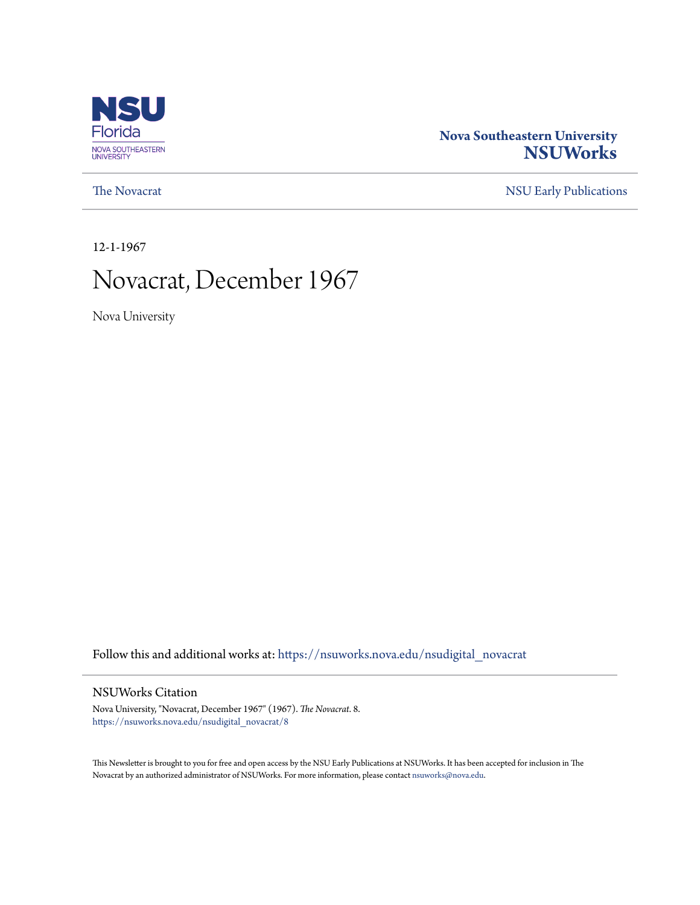

## **Nova Southeastern University [NSUWorks](https://nsuworks.nova.edu?utm_source=nsuworks.nova.edu%2Fnsudigital_novacrat%2F8&utm_medium=PDF&utm_campaign=PDFCoverPages)**

### [The Novacrat](https://nsuworks.nova.edu/nsudigital_novacrat?utm_source=nsuworks.nova.edu%2Fnsudigital_novacrat%2F8&utm_medium=PDF&utm_campaign=PDFCoverPages) [NSU Early Publications](https://nsuworks.nova.edu/nsudigital_earlypubs?utm_source=nsuworks.nova.edu%2Fnsudigital_novacrat%2F8&utm_medium=PDF&utm_campaign=PDFCoverPages)

12-1-1967

# Novacrat, December 1967

Nova University

Follow this and additional works at: [https://nsuworks.nova.edu/nsudigital\\_novacrat](https://nsuworks.nova.edu/nsudigital_novacrat?utm_source=nsuworks.nova.edu%2Fnsudigital_novacrat%2F8&utm_medium=PDF&utm_campaign=PDFCoverPages)

### NSUWorks Citation

Nova University, "Novacrat, December 1967" (1967). *The Novacrat*. 8. [https://nsuworks.nova.edu/nsudigital\\_novacrat/8](https://nsuworks.nova.edu/nsudigital_novacrat/8?utm_source=nsuworks.nova.edu%2Fnsudigital_novacrat%2F8&utm_medium=PDF&utm_campaign=PDFCoverPages)

This Newsletter is brought to you for free and open access by the NSU Early Publications at NSUWorks. It has been accepted for inclusion in The Novacrat by an authorized administrator of NSUWorks. For more information, please contact [nsuworks@nova.edu](mailto:nsuworks@nova.edu).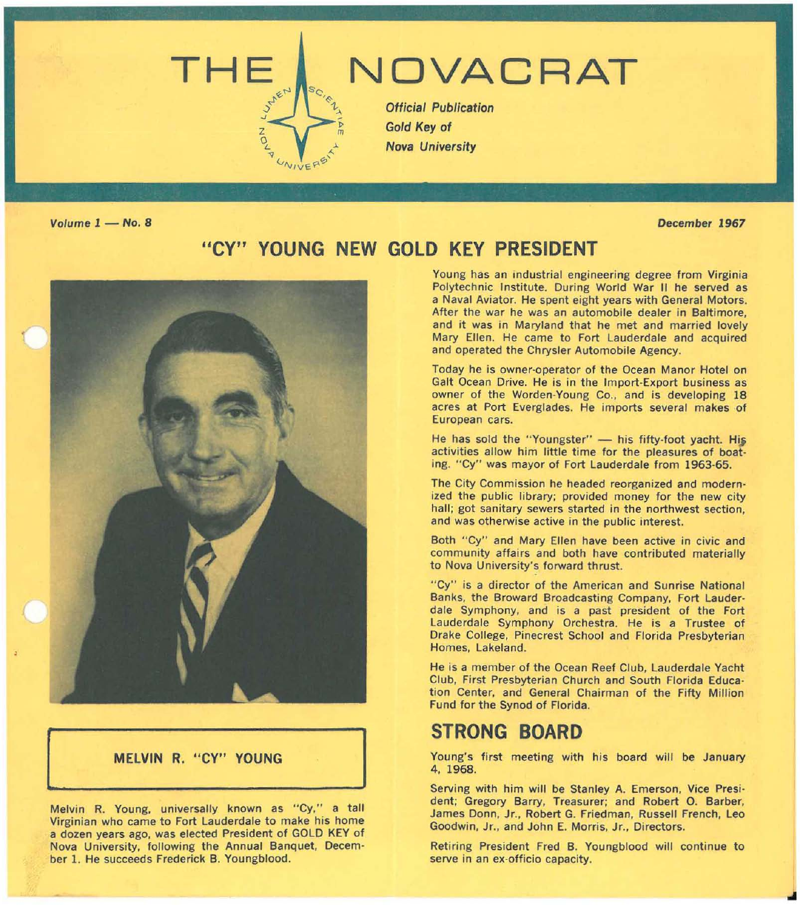

Volume  $1 -$  No. 8

# THE NOVACRAT

Official Publication Gold Key of Nova University

December 1967

# "CY" YOUNG NEW GOLD KEY PRESIDENT



[ MELVIN R. "CY" YOUNG

Melvin R. Young, universally known as "Cy," a tall Virginian who came to Fort Lauderdale to make his home a dozen years ago, was elected President of GOLD KEY of Nova University, following the Annual Banquet, December 1. He succeeds Frederick B. Youngblood.

Young has an industrial engineering degree from Virginia Polytechnic Institute. During World War II he served as a Naval Aviator. He spent eight years with General Motors. After the war he was an automobile dealer in Baltimore, and it was in Maryland that he met and married lovely Mary Ellen. He came to Fort Lauderdale and acquired and operated the Chrysler Automobile Agency.

Today he is owner·operator of the Ocean Manor Hotel on Galt Ocean Drive. He is in the Import-Export business as owner of the Worden-Young Co., and is developing 18 acres at Port Everglades. He imports several makes of European cars.

He has sold the "Youngster" - his fifty-foot yacht. His activities allow him little time for the pleasures of boat· ing. "Cy" was mayor of Fort Lauderdale from 1963-65.

The City Commission he headed reorganized and modernized the public library; provided money for the new city hall; got sanitary sewers started in the northwest section, and was otherwise active in the public interest.

Both "Cy" and Mary Ellen have been active in civic and community affairs and both have contributed materially to Nova University's forward thrust.

"Cy" is a director of the American and Sunrise National Banks. the Broward Broadcasting Company. Fort Lauder· dale Symphony. and is a past president of the Fort Lauderdale Symphony Orchestra. He is a Trustee of Drake College, Pinecrest School and Florida Presbyterian Homes, Lakeland.

He is a member of the Ocean Reef Club. lauderdale Yacht Club, First Presbyterian Church and South Florida Education Center, and General Chairman of the Fifty Million Fund for the Synod of Florida.

## STRONG BOARD

Young's first meeting with his board will be January 4. 1968.

Serving with him will be Stanley A. Emerson, Vice Presi· dent; Gregory Barry, Treasurer; and Robert O. Barber, James Donn. Jr., Robert G. Friedman, Russell French, Leo Goodwin, Jr., and John E. Morris, Jr., Directors\_

Retiring President Fred B. Youngblood will continue to serve in an ex-officio capacity.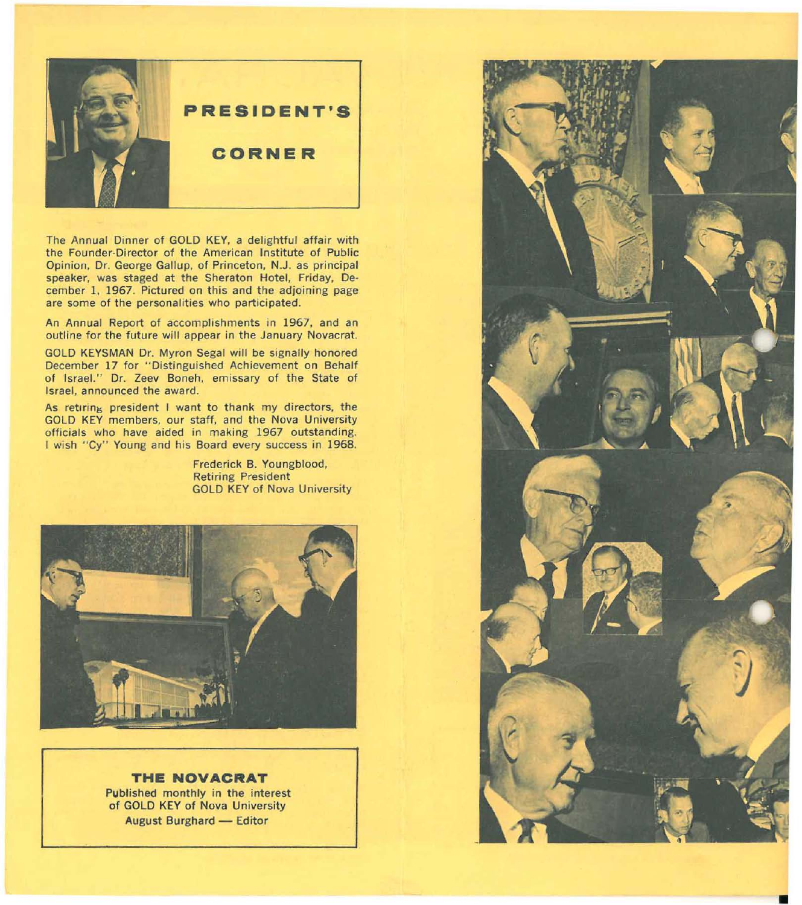

The Annual Dinner of GOLD KEY, a delightful affair with the Founder-Director of the American Institute of Public Opinion, Dr. George Gallup, of Princeton, N.J. as principal speaker. was staged at the Sheraton Hotel, Friday, December 1. 1967. Pictured on this and the adjoining page are some of the personalities who participated.

An Annual Report of accomplishments in 1967, and an outline for the future will appear in the January Novacrat.

GOLD KEYSMAN Dr. Myron Segal will be signally honored December 17 for "Distinguished Achievement on Behalf of Israel." Or. Zeev Boneh, emissary of the State of Israel, announced the award.

As retiring president I want to thank my directors, the GOLD KEY members. our staff, and the Nova University officials who have aided in making 1967 outstanding. I wish "Cy" Young and his Board every success in 1968.

> Frederick B. Youngblood, Retiring President GOLD KEY of Nova University



THE NOVACRAT Published monthly in the interest of GOLD KEY of Nova University August Burghard - Editor



•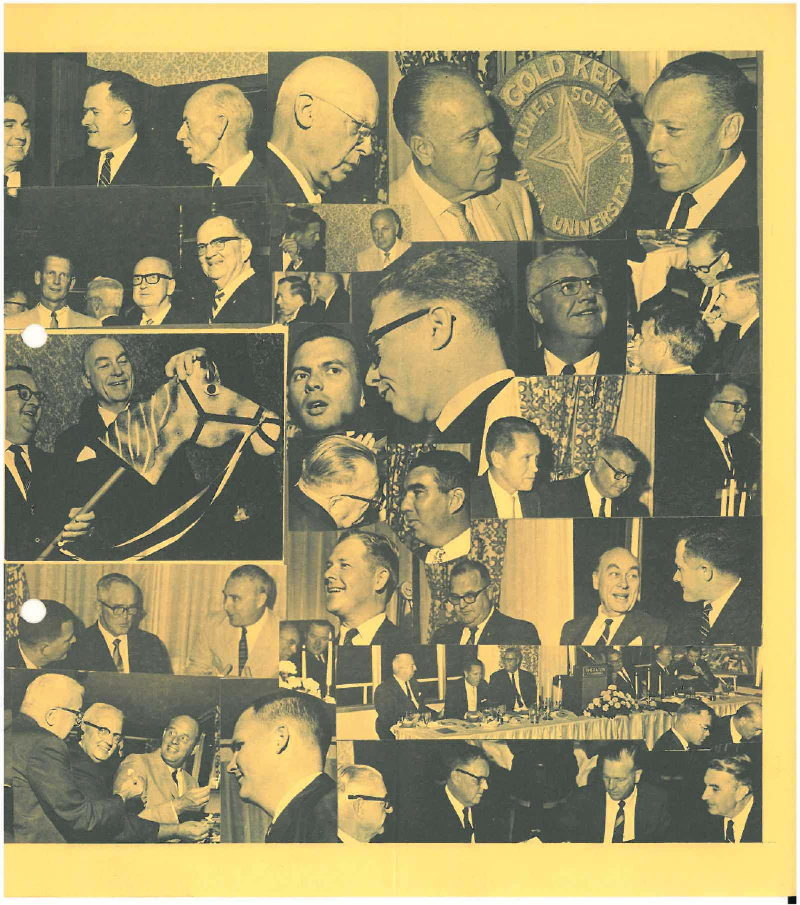